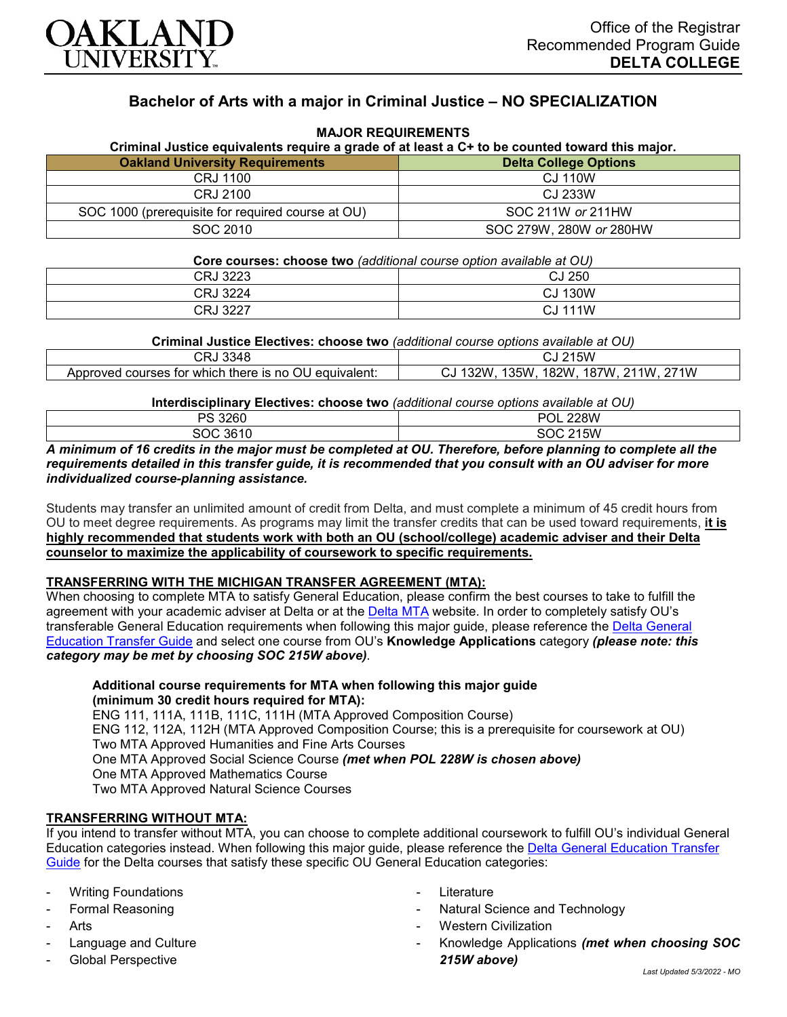

# **Bachelor of Arts with a major in Criminal Justice – NO SPECIALIZATION**

**MAJOR REQUIREMENTS**

| Criminal Justice equivalents require a grade of at least a C+ to be counted toward this major. |                              |  |
|------------------------------------------------------------------------------------------------|------------------------------|--|
| <b>Oakland University Requirements</b>                                                         | <b>Delta College Options</b> |  |
| CRJ 1100                                                                                       | CJ 110W                      |  |
| CRJ 2100                                                                                       | CJ 233W                      |  |
| SOC 1000 (prerequisite for required course at OU)                                              | SOC 211W or 211HW            |  |
| SOC 2010                                                                                       | SOC 279W, 280W or 280HW      |  |

## **Core courses: choose two** *(additional course option available at OU)* CRJ 3223 CJ 250 CRJ 3224 CJ 130W CRJ 3227 CJ 111W

**Criminal Justice Electives: choose two** *(additional course options available at OU)*

| <b>CRJ 3348</b>                                                                                         | 215W<br>س                                                |
|---------------------------------------------------------------------------------------------------------|----------------------------------------------------------|
| courses for which .<br>$^{\backprime}$ there is no $^{\backprime}$<br>' equivalent:<br>Approved<br>. OU | 182W<br>187W<br>`?2W<br>135W<br>211W<br>271W<br>ັບ∠<br>w |

**Interdisciplinary Electives: choose two** *(additional course options available at OU)*

| 3260<br>DO                                                                            | 228W<br>POL                                                                                              |
|---------------------------------------------------------------------------------------|----------------------------------------------------------------------------------------------------------|
| $\sim$ 3610 ن<br>snr                                                                  | 215W<br>coo<br>יי                                                                                        |
| ______<br>the contract of the contract of the con-<br>the contract of the contract of | ________<br>______<br>the contract of the contract of the contract of<br>the contract of the contract of |

*A minimum of 16 credits in the major must be completed at OU. Therefore, before planning to complete all the requirements detailed in this transfer guide, it is recommended that you consult with an OU adviser for more individualized course-planning assistance.*

Students may transfer an unlimited amount of credit from Delta, and must complete a minimum of 45 credit hours from OU to meet degree requirements. As programs may limit the transfer credits that can be used toward requirements, **it is highly recommended that students work with both an OU (school/college) academic adviser and their Delta counselor to maximize the applicability of coursework to specific requirements.**

#### **TRANSFERRING WITH THE MICHIGAN TRANSFER AGREEMENT (MTA):**

When choosing to complete MTA to satisfy General Education, please confirm the best courses to take to fulfill the agreement with your academic adviser at Delta or at the [Delta MTA](http://catalog.delta.edu/content.php?catoid=10&navoid=1320&hl=MTA&returnto=search) website. In order to completely satisfy OU's transferable General Education requirements when following this major guide, please reference the [Delta General](https://www.oakland.edu/Assets/Oakland/program-guides/delta-college/university-general-education-requirements/Delta%20Gen%20Ed.pdf)  [Education Transfer Guide](https://www.oakland.edu/Assets/Oakland/program-guides/delta-college/university-general-education-requirements/Delta%20Gen%20Ed.pdf) and select one course from OU's **Knowledge Applications** category *(please note: this category may be met by choosing SOC 215W above)*.

**Additional course requirements for MTA when following this major guide (minimum 30 credit hours required for MTA):**

ENG 111, 111A, 111B, 111C, 111H (MTA Approved Composition Course) ENG 112, 112A, 112H (MTA Approved Composition Course; this is a prerequisite for coursework at OU) Two MTA Approved Humanities and Fine Arts Courses One MTA Approved Social Science Course *(met when POL 228W is chosen above)* One MTA Approved Mathematics Course Two MTA Approved Natural Science Courses

#### **TRANSFERRING WITHOUT MTA:**

If you intend to transfer without MTA, you can choose to complete additional coursework to fulfill OU's individual General Education categories instead. When following this major guide, please reference the [Delta General Education Transfer](https://www.oakland.edu/Assets/Oakland/program-guides/delta-college/university-general-education-requirements/Delta%20Gen%20Ed.pdf)  [Guide](https://www.oakland.edu/Assets/Oakland/program-guides/delta-college/university-general-education-requirements/Delta%20Gen%20Ed.pdf) for the Delta courses that satisfy these specific OU General Education categories:

- **Writing Foundations**
- Formal Reasoning
- **Arts**
- Language and Culture
- Global Perspective
- **Literature**
- Natural Science and Technology
- **Western Civilization**
- Knowledge Applications *(met when choosing SOC 215W above)*